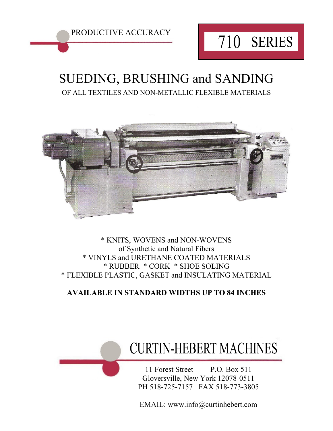

### SUEDING, BRUSHING and SANDING OF ALL TEXTILES AND NON-METALLIC FLEXIBLE MATERIALS



#### \* KNITS, WOVENS and NON-WOVENS of Synthetic and Natural Fibers \* VINYLS and URETHANE COATED MATERIALS \* RUBBER \* CORK \* SHOE SOLING \* FLEXIBLE PLASTIC, GASKET and INSULATING MATERIAL

### **AVAILABLE IN STANDARD WIDTHS UP TO 84 INCHES**

## CURTIN-HEBERT MACHINES

11 Forest Street P.O. Box 511 Gloversville, New York 12078-0511 PH 518-725-7157 FAX 518-773-3805

EMAIL: www.info@curtinhebert.com